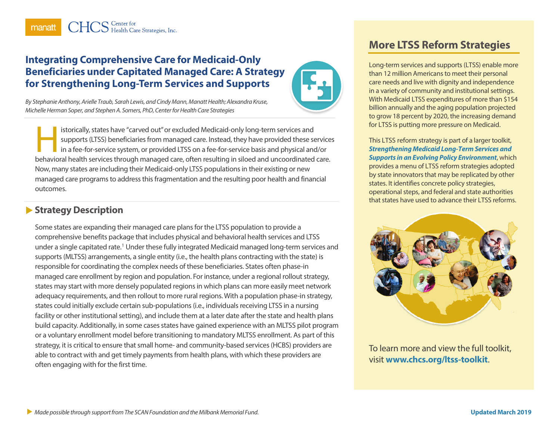## **Integrating Comprehensive Care for Medicaid-Only Beneficiaries under Capitated Managed Care: A Strategy for Strengthening Long-Term Services and Supports**



*By Stephanie Anthony, Arielle Traub, Sarah Lewis, and Cindy Mann, Manatt Health; Alexandra Kruse, Michelle Herman Soper, and Stephen A. Somers, PhD, Center for Health Care Strategies*

istorically, states have "carved out" or excluded Medicaid-only long-term services and supports (LTSS) beneficiaries from managed care. Instead, they have provided these services in a fee-for-service system, or provided LTSS on a fee-for-service basis and physical and/or istorically, states have "carved out" or excluded Medicaid-only long-term services and<br>supports (LTSS) beneficiaries from managed care. Instead, they have provided these service<br>in a fee-for-service system, or provided LTS Now, many states are including their Medicaid-only LTSS populations in their existing or new managed care programs to address this fragmentation and the resulting poor health and financial outcomes.

## **Strategy Description**

Some states are expanding their managed care plans for the LTSS population to provide a comprehensive benefits package that includes physical and behavioral health services and LTSS under a single capitated rate.[1](#page-4-0) Under these fully integrated Medicaid managed long-term services and supports (MLTSS) arrangements, a single entity (i.e., the health plans contracting with the state) is responsible for coordinating the complex needs of these beneficiaries. States often phase-in managed care enrollment by region and population. For instance, under a regional rollout strategy, states may start with more densely populated regions in which plans can more easily meet network adequacy requirements, and then rollout to more rural regions. With a population phase-in strategy, states could initially exclude certain sub-populations (i.e., individuals receiving LTSS in a nursing facility or other institutional setting), and include them at a later date after the state and health plans build capacity. Additionally, in some cases states have gained experience with an MLTSS pilot program or a voluntary enrollment model before transitioning to mandatory MLTSS enrollment. As part of this strategy, it is critical to ensure that small home- and community-based services (HCBS) providers are able to contract with and get timely payments from health plans, with which these providers are often engaging with for the first time.

# **More LTSS Reform Strategies**

Long-term services and supports (LTSS) enable more than 12 million Americans to meet their personal care needs and live with dignity and independence in a variety of community and institutional settings. With Medicaid LTSS expenditures of more than \$154 billion annually and the aging population projected to grow 18 percent by 2020, the increasing demand for LTSS is putting more pressure on Medicaid.

This LTSS reform strategy is part of a larger toolkit, *[Strengthening Medicaid Long-Term Services and](https://www.chcs.org/resource/strengthening-medicaid-long-term-services-supports-evolving-policy-environment-toolkit-states/)  [Supports in an Evolving Policy Environment](https://www.chcs.org/resource/strengthening-medicaid-long-term-services-supports-evolving-policy-environment-toolkit-states/)*, which provides a menu of LTSS reform strategies adopted by state innovators that may be replicated by other states. It identifies concrete policy strategies, operational steps, and federal and state authorities that states have used to advance their LTSS reforms.



To learn more and view the full toolkit, visit **[www.chcs.org/ltss-toolkit](http://www.chcs.org/ltss-toolkit)**.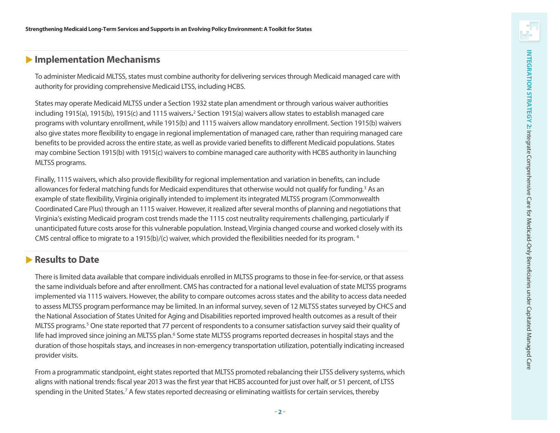## **Implementation Mechanisms**

To administer Medicaid MLTSS, states must combine authority for delivering services through Medicaid managed care with authority for providing comprehensive Medicaid LTSS, including HCBS.

States may operate Medicaid MLTSS under a Section 1932 state plan amendment or through various waiver authorities including 1915(a), 1915(b), 1915(c) and 1115 waivers.<sup>[2](#page-4-1)</sup> Section 1915(a) waivers allow states to establish managed care programs with voluntary enrollment, while 1915(b) and 1115 waivers allow mandatory enrollment. Section 1915(b) waivers also give states more flexibility to engage in regional implementation of managed care, rather than requiring managed care benefits to be provided across the entire state, as well as provide varied benefits to different Medicaid populations. States may combine Section 1915(b) with 1915(c) waivers to combine managed care authority with HCBS authority in launching MLTSS programs.

Finally, 1115 waivers, which also provide flexibility for regional implementation and variation in benefits, can include allowances for federal matching funds for Medicaid expenditures that otherwise would not qualify for funding.<sup>[3](#page-4-2)</sup> As an example of state flexibility, Virginia originally intended to implement its integrated MLTSS program (Commonwealth Coordinated Care Plus) through an 1115 waiver. However, it realized after several months of planning and negotiations that Virginia 's existing Medicaid program cost trends made the 1115 cost neutrality requirements challenging, particularly if unanticipated future costs arose for this vulnerable population. Instead, Virginia changed course and worked closely with its CMS central office to migrate to a 1915(b)/(c) waiver, which provided the flexibilities needed for its program. [4](#page-4-3)

## **Results to Date**

There is limited data available that compare individuals enrolled in MLTSS programs to those in fee -for -service, or that assess the same individuals before and after enrollment. CMS has contracted for a national level evaluation of state MLTSS programs implemented via 1115 waivers. However, the ability to compare outcomes across states and the ability to access data needed to assess MLTSS program performance may be limited. In an informal survey, seven of 12 MLTSS states surveyed by CHCS and the National Association of States United for Aging and Disabilities reported improved health outcomes as a result of their MLTSS programs. [5](#page-4-4) One state reported that 77 percent of respondents to a consumer satisfaction survey said their quality of life had improved since joining an MLTSS plan.<sup>[6](#page-4-5)</sup> Some state MLTSS programs reported decreases in hospital stays and the duration of those hospitals stays, and increases in non-emergency transportation utilization, potentially indicating increased provider visits.

From a programmatic standpoint, eight states reported that MLTSS promoted rebalancing their LTSS delivery systems, which aligns with national trends: fiscal year 2013 was the first year that HCBS accounted for just over half, or 51 percent, of LTSS spending in the United States.<sup>[7](#page-4-6)</sup> A few states reported decreasing or eliminating waitlists for certain services, thereby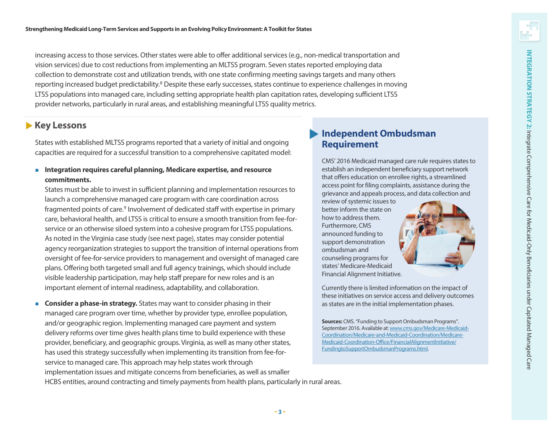increasing access to those services. Other states were able to offer additional services (e.g., non-medical transportation and vision services) due to cost reductions from implementing an MLTSS program. Seven states reported employing data collection to demonstrate cost and utilization trends, with one state confirming meeting savings targets and many others reporting increased budget predictability.<sup>8</sup> Despite these early successes, states continue to experience challenges in moving LTSS populations into managed care, including setting appropriate health plan capitation rates, developing sufficient LTSS provider networks, particularly in rural areas, and establishing meaningful LTSS quality metrics.

### **Key Lessons**

States with established MLTSS programs reported that a variety of initial and ongoing capacities are required for a successful transition to a comprehensive capitated model:

 **Integration requires careful planning, Medicare expertise, and resource commitments.**

States must be able to invest in sufficient planning and implementation resources to launch a comprehensive managed care program with care coordination across fragmented points of care.<sup>[9](#page-4-8)</sup> Involvement of dedicated staff with expertise in primary care, behavioral health, and LTSS is critical to ensure a smooth transition from fee-forservice or an otherwise siloed system into a cohesive program for LTSS populations. As noted in the Virginia case study (see next page), states may consider potential agency reorganization strategies to support the transition of internal operations from oversight of fee-for-service providers to management and oversight of managed care plans. Offering both targeted small and full agency trainings, which should include visible leadership participation, may help staff prepare for new roles and is an important element of internal readiness, adaptability, and collaboration.

 **Consider a phase-in strategy.** States may want to consider phasing in their managed care program over time, whether by provider type, enrollee population, and/or geographic region. Implementing managed care payment and system delivery reforms over time gives health plans time to build experience with these provider, beneficiary, and geographic groups. Virginia, as well as many other states, has used this strategy successfully when implementing its transition from fee-forservice to managed care. This approach may help states work through implementation issues and mitigate concerns from beneficiaries, as well as smaller HCBS entities, around contracting and timely payments from health plans, particularly in rural areas.

## **Independent Ombudsman Requirement**

CMS' 2016 Medicaid managed care rule requires states to establish an independent beneficiary support network that offers education on enrollee rights, a streamlined access point for filing complaints, assistance during the grievance and appeals process, and data collection and

review of systemic issues to better inform the state on how to address them. Furthermore, CMS announced funding to support demonstration ombudsman and counseling programs for states' Medicare-Medicaid Financial Alignment Initiative.

Currently there is limited information on the impact of these initiatives on service access and delivery outcomes as states are in the initial implementation phases.

**Sources:** CMS. "Funding to Support Ombudsman Programs". September 2016. Available at[: www.cms.gov/Medicare-Medicaid-](http://www.cms.gov/Medicare-Medicaid-Coordination/Medicare-and-Medicaid-Coordination/Medicare-Medicaid-Coordination-Office/FinancialAlignmentInitiative/FundingtoSupportOmbudsmanPrograms.html)[Coordination/Medicare-and-Medicaid-Coordination/Medicare-](http://www.cms.gov/Medicare-Medicaid-Coordination/Medicare-and-Medicaid-Coordination/Medicare-Medicaid-Coordination-Office/FinancialAlignmentInitiative/FundingtoSupportOmbudsmanPrograms.html)[Medicaid-Coordination-Office/FinancialAlignmentInitiative/](http://www.cms.gov/Medicare-Medicaid-Coordination/Medicare-and-Medicaid-Coordination/Medicare-Medicaid-Coordination-Office/FinancialAlignmentInitiative/FundingtoSupportOmbudsmanPrograms.html) [FundingtoSupportOmbudsmanPrograms.html.](http://www.cms.gov/Medicare-Medicaid-Coordination/Medicare-and-Medicaid-Coordination/Medicare-Medicaid-Coordination-Office/FinancialAlignmentInitiative/FundingtoSupportOmbudsmanPrograms.html)

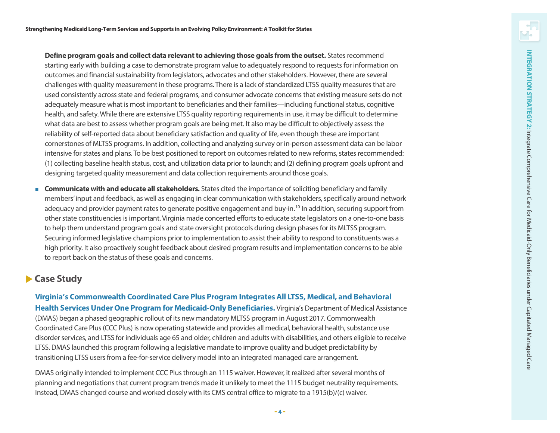**Define program goals and collect data relevant to achieving those goals from the outset.** States recommend starting early with building a case to demonstrate program value to adequately respond to requests for information on outcomes and financial sustainability from legislators, advocates and other stakeholders. However, there are several challenges with quality measurement in these programs. There is a lack of standardized LTSS quality measures that are used consistently across state and federal programs, and consumer advocate concerns that existing measure sets do not adequately measure what is most important to beneficiaries and their families —including functional status, cognitive health, and safety. While there are extensive LTSS quality reporting requirements in use, it may be difficult to determine what data are best to assess whether program goals are being met. It also may be difficult to objectively assess the reliability of self-reported data about beneficiary satisfaction and quality of life, even though these are important cornerstones of MLTSS programs. In addition, collecting and analyzing survey or in -person assessment data can be labor intensive for states and plans. To be best positioned to report on outcomes related to new reforms, states recommended: (1) collecting baseline health status, cost, and utilization data prior to launch; and (2) defining program goals upfront and designing targeted quality measurement and data collection requirements around those goals.

**Communicate with and educate all stakeholders.** States cited the importance of soliciting beneficiary and family members' input and feedback, as well as engaging in clear communication with stakeholders, specifically around network adequacy and provider payment rates to generate positive engagement and buy-in.<sup>[10](#page-4-9)</sup> In addition, securing support from other state constituencies is important. Virginia made concerted efforts to educate state legislators on a one -to -one basis to help them understand program goals and state oversight protocols during design phases for its MLTSS program. Securing informed legislative champions prior to implementation to assist their ability to respond to constituents was a high priority. It also proactively sought feedback about desired program results and implementation concerns to be able to report back on the status of these goals and concerns.

## **Case Study**

**Virginia 's Commonwealth Coordinated Care Plus Program Integrates All LTSS, Medical , and Behavioral**  Health Services Under One Program for Medicaid-Only Beneficiaries. Virginia's Department of Medical Assistance (DMAS) began a phased geographic rollout of its new mandatory MLTSS program in August 2017. Commonwealth Coordinated Care Plus (CCC Plus) is now operating statewide and provides all medical, behavioral health, substance use disorder services, and LTSS for individuals age 65 and older, children and adults with disabilities, and others eligible to receive LTSS. DMAS launched this program following a legislative mandate to improve quality and budget predictability by transitioning LTSS users from a fee-for-service delivery model into an integrated managed care arrangement.

DMAS originally intended to implement CCC Plus through an 1115 waiver. However, it realized after several months of planning and negotiations that current program trends made it unlikely to meet the 1115 budget neutrality requirements. Instead, DMAS changed course and worked closely with its CMS central office to migrate to a 1915(b)/(c) waiver.